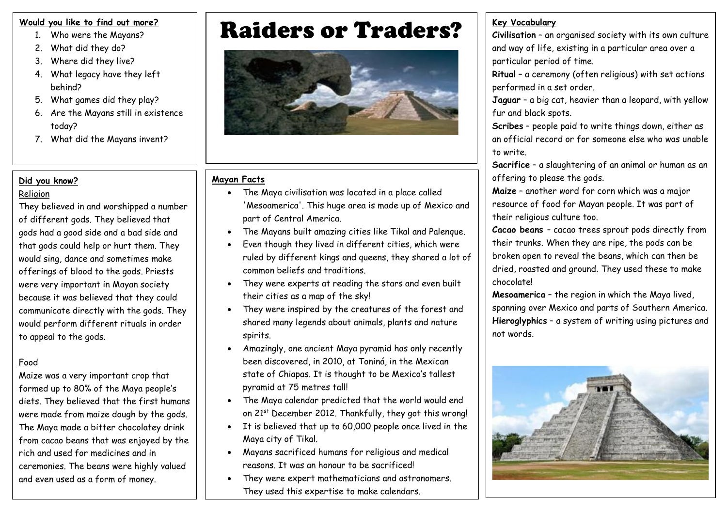#### **Would you like to find out more?**

- 1. Who were the Mayans?
- 2. What did they do?
- 3. Where did they live?
- 4. What legacy have they left behind?
- 5. What games did they play?
- 6. Are the Mayans still in existence today?
- 7. What did the Mayans invent?

# **Did you know?**

# Religion

They believed in and worshipped a number of different gods. They believed that gods had a good side and a bad side and that gods could help or hurt them. They would sing, dance and sometimes make offerings of blood to the gods. Priests were very important in Mayan society because it was believed that they could communicate directly with the gods. They would perform different rituals in order to appeal to the gods.

# Food

Maize was a very important crop that formed up to 80% of the Maya people's diets. They believed that the first humans were made from maize dough by the gods. The Maya made a bitter chocolatey drink from cacao beans that was enjoyed by the rich and used for medicines and in ceremonies. The beans were highly valued and even used as a form of money.

# **Raiders or Traders?** I Ever Vocabulary



### **Mayan Facts**

- The Maya civilisation was located in a place called 'Mesoamerica'. This huge area is made up of Mexico and part of Central America.
- The Mayans built amazing cities like Tikal and Palenque.
- Even though they lived in different cities, which were ruled by different kings and queens, they shared a lot of common beliefs and traditions.
- They were experts at reading the stars and even built their cities as a map of the sky!
- They were inspired by the creatures of the forest and shared many legends about animals, plants and nature spirits.
- Amazingly, one ancient Maya pyramid has only recently been discovered, in 2010, at Toniná, in the Mexican state of Chiapas. It is thought to be Mexico's tallest pyramid at 75 metres tall!
- The Maya calendar predicted that the world would end on 21<sup>st</sup> December 2012. Thankfully, they got this wrong!
- It is believed that up to 60,000 people once lived in the Maya city of Tikal.
- Mayans sacrificed humans for religious and medical reasons. It was an honour to be sacrificed!
- They were expert mathematicians and astronomers. They used this expertise to make calendars.

**Civilisation** – an organised society with its own culture and way of life, existing in a particular area over a particular period of time.

**Ritual** – a ceremony (often religious) with set actions performed in a set order.

**Jaguar** – a big cat, heavier than a leopard, with yellow fur and black spots.

**Scribes** – people paid to write things down, either as an official record or for someone else who was unable to write.

**Sacrifice** – a slaughtering of an animal or human as an offering to please the gods.

**Maize** – another word for corn which was a major resource of food for Mayan people. It was part of their religious culture too.

**Cacao beans** – cacao trees sprout pods directly from their trunks. When they are ripe, the pods can be broken open to reveal the beans, which can then be dried, roasted and ground. They used these to make chocolate!

**Mesoamerica** – the region in which the Maya lived, spanning over Mexico and parts of Southern America. **Hieroglyphics** – a system of writing using pictures and not words.